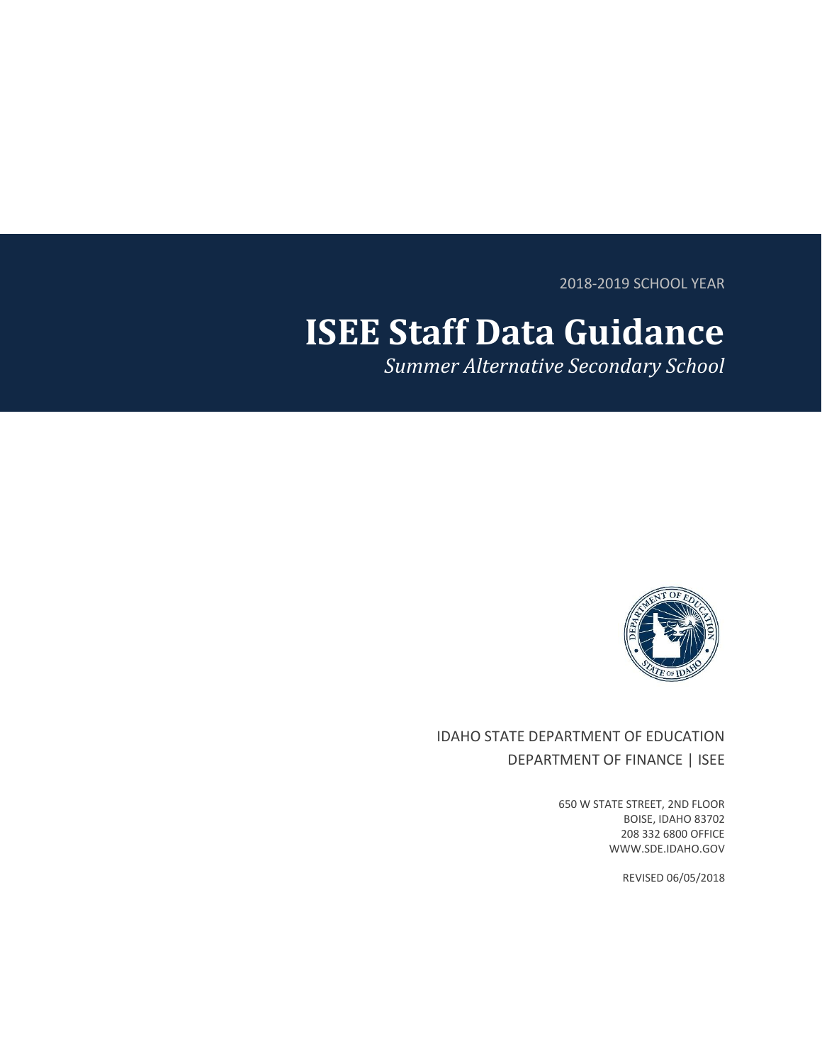2018-2019 SCHOOL YEAR

# **ISEE Staff Data Guidance**

*Summer Alternative Secondary School*



## IDAHO STATE DEPARTMENT OF EDUCATION DEPARTMENT OF FINANCE | ISEE

650 W STATE STREET, 2ND FLOOR BOISE, IDAHO 83702 208 332 6800 OFFICE WWW.SDE.IDAHO.GOV

REVISED 06/05/2018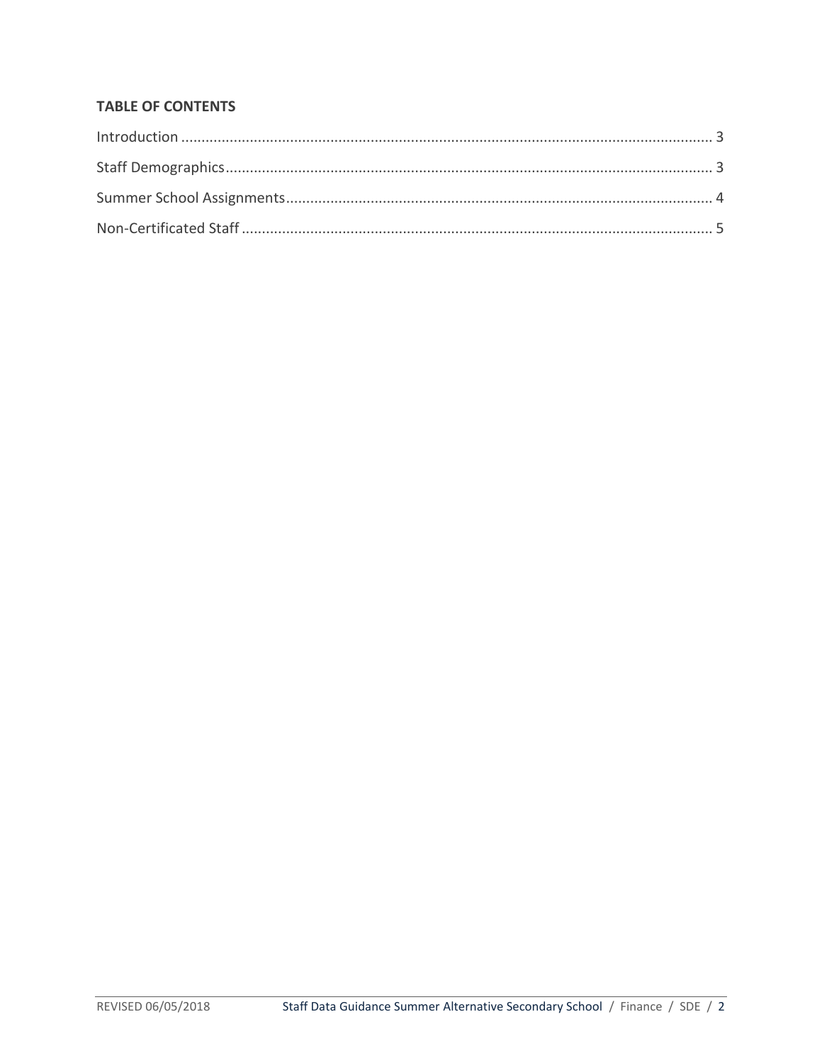## **TABLE OF CONTENTS**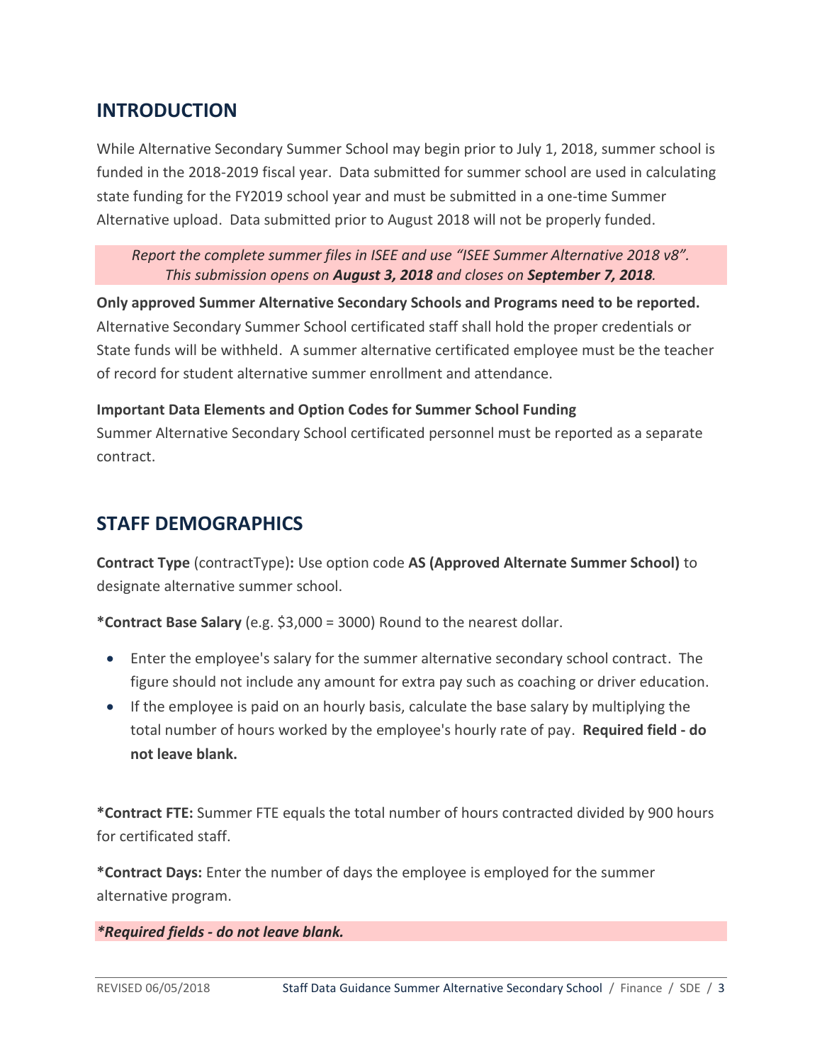# <span id="page-2-0"></span>**INTRODUCTION**

While Alternative Secondary Summer School may begin prior to July 1, 2018, summer school is funded in the 2018-2019 fiscal year. Data submitted for summer school are used in calculating state funding for the FY2019 school year and must be submitted in a one-time Summer Alternative upload. Data submitted prior to August 2018 will not be properly funded.

#### *Report the complete summer files in ISEE and use "ISEE Summer Alternative 2018 v8". This submission opens on August 3, 2018 and closes on September 7, 2018.*

**Only approved Summer Alternative Secondary Schools and Programs need to be reported.** Alternative Secondary Summer School certificated staff shall hold the proper credentials or State funds will be withheld. A summer alternative certificated employee must be the teacher of record for student alternative summer enrollment and attendance.

#### **Important Data Elements and Option Codes for Summer School Funding**

Summer Alternative Secondary School certificated personnel must be reported as a separate contract.

# <span id="page-2-1"></span>**STAFF DEMOGRAPHICS**

**Contract Type** (contractType)**:** Use option code **AS (Approved Alternate Summer School)** to designate alternative summer school.

**\*Contract Base Salary** (e.g. \$3,000 = 3000) Round to the nearest dollar.

- Enter the employee's salary for the summer alternative secondary school contract. The figure should not include any amount for extra pay such as coaching or driver education.
- If the employee is paid on an hourly basis, calculate the base salary by multiplying the total number of hours worked by the employee's hourly rate of pay. **Required field - do not leave blank.**

**\*Contract FTE:** Summer FTE equals the total number of hours contracted divided by 900 hours for certificated staff.

**\*Contract Days:** Enter the number of days the employee is employed for the summer alternative program.

#### *\*Required fields - do not leave blank.*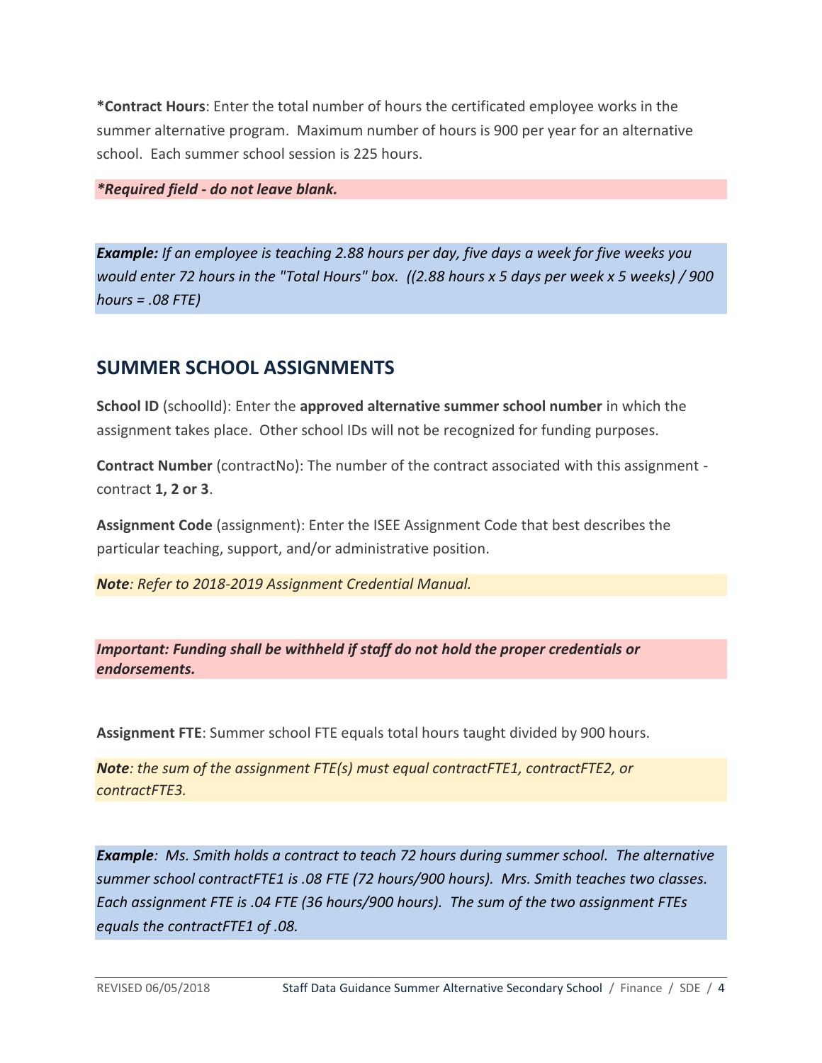**\*Contract Hours**: Enter the total number of hours the certificated employee works in the summer alternative program. Maximum number of hours is 900 per year for an alternative school. Each summer school session is 225 hours.

*\*Required field - do not leave blank.*

*Example: If an employee is teaching 2.88 hours per day, five days a week for five weeks you would enter 72 hours in the "Total Hours" box. ((2.88 hours x 5 days per week x 5 weeks) / 900 hours = .08 FTE)*

# <span id="page-3-0"></span>**SUMMER SCHOOL ASSIGNMENTS**

**School ID** (schoolId): Enter the **approved alternative summer school number** in which the assignment takes place. Other school IDs will not be recognized for funding purposes.

**Contract Number** (contractNo): The number of the contract associated with this assignment contract **1, 2 or 3**.

**Assignment Code** (assignment): Enter the ISEE Assignment Code that best describes the particular teaching, support, and/or administrative position.

*Note: Refer to 2018-2019 Assignment Credential Manual.*

*Important: Funding shall be withheld if staff do not hold the proper credentials or endorsements.*

**Assignment FTE**: Summer school FTE equals total hours taught divided by 900 hours.

*Note: the sum of the assignment FTE(s) must equal contractFTE1, contractFTE2, or contractFTE3.*

*Example: Ms. Smith holds a contract to teach 72 hours during summer school. The alternative summer school contractFTE1 is .08 FTE (72 hours/900 hours). Mrs. Smith teaches two classes. Each assignment FTE is .04 FTE (36 hours/900 hours). The sum of the two assignment FTEs equals the contractFTE1 of .08.*